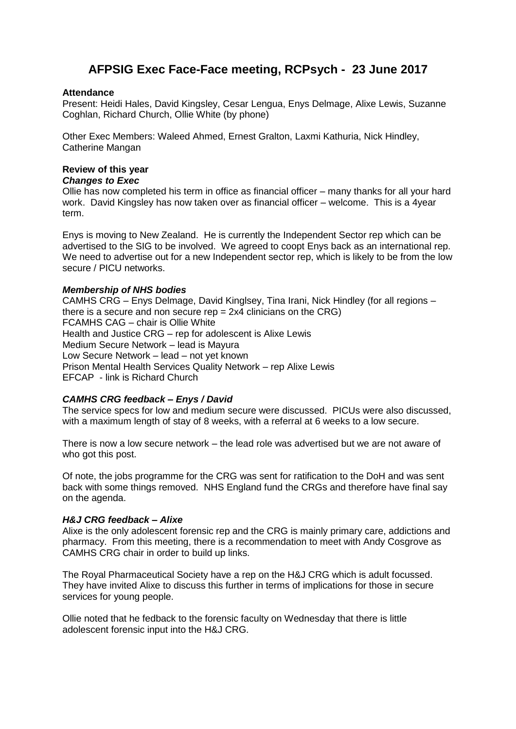# **AFPSIG Exec Face-Face meeting, RCPsych - 23 June 2017**

## **Attendance**

Present: Heidi Hales, David Kingsley, Cesar Lengua, Enys Delmage, Alixe Lewis, Suzanne Coghlan, Richard Church, Ollie White (by phone)

Other Exec Members: Waleed Ahmed, Ernest Gralton, Laxmi Kathuria, Nick Hindley, Catherine Mangan

# **Review of this year**

## *Changes to Exec*

Ollie has now completed his term in office as financial officer – many thanks for all your hard work. David Kingsley has now taken over as financial officer – welcome. This is a 4year term.

Enys is moving to New Zealand. He is currently the Independent Sector rep which can be advertised to the SIG to be involved. We agreed to coopt Enys back as an international rep. We need to advertise out for a new Independent sector rep, which is likely to be from the low secure / PICU networks.

## *Membership of NHS bodies*

CAMHS CRG – Enys Delmage, David Kinglsey, Tina Irani, Nick Hindley (for all regions – there is a secure and non secure rep  $= 2x4$  clinicians on the CRG) FCAMHS CAG – chair is Ollie White Health and Justice CRG – rep for adolescent is Alixe Lewis Medium Secure Network – lead is Mayura Low Secure Network – lead – not yet known Prison Mental Health Services Quality Network – rep Alixe Lewis EFCAP - link is Richard Church

## *CAMHS CRG feedback – Enys / David*

The service specs for low and medium secure were discussed. PICUs were also discussed, with a maximum length of stay of 8 weeks, with a referral at 6 weeks to a low secure.

There is now a low secure network – the lead role was advertised but we are not aware of who got this post.

Of note, the jobs programme for the CRG was sent for ratification to the DoH and was sent back with some things removed. NHS England fund the CRGs and therefore have final say on the agenda.

## *H&J CRG feedback – Alixe*

Alixe is the only adolescent forensic rep and the CRG is mainly primary care, addictions and pharmacy. From this meeting, there is a recommendation to meet with Andy Cosgrove as CAMHS CRG chair in order to build up links.

The Royal Pharmaceutical Society have a rep on the H&J CRG which is adult focussed. They have invited Alixe to discuss this further in terms of implications for those in secure services for young people.

Ollie noted that he fedback to the forensic faculty on Wednesday that there is little adolescent forensic input into the H&J CRG.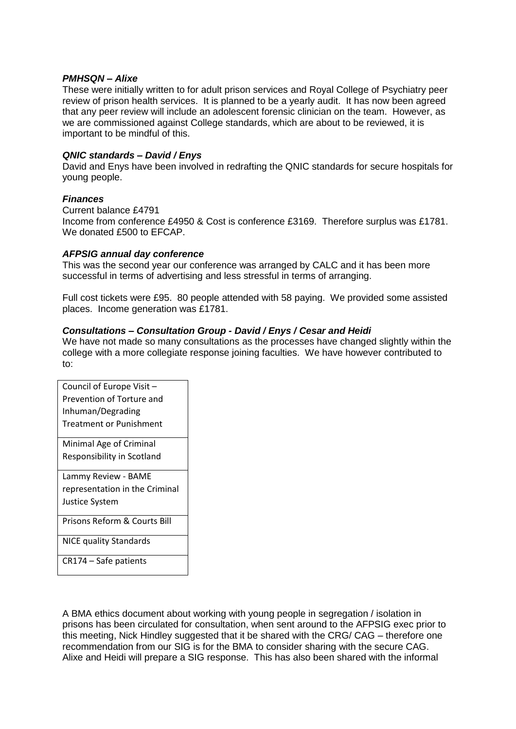## *PMHSQN – Alixe*

These were initially written to for adult prison services and Royal College of Psychiatry peer review of prison health services. It is planned to be a yearly audit. It has now been agreed that any peer review will include an adolescent forensic clinician on the team. However, as we are commissioned against College standards, which are about to be reviewed, it is important to be mindful of this.

## *QNIC standards – David / Enys*

David and Enys have been involved in redrafting the QNIC standards for secure hospitals for young people.

## *Finances*

Current balance £4791 Income from conference £4950 & Cost is conference £3169. Therefore surplus was £1781. We donated £500 to EFCAP.

## *AFPSIG annual day conference*

This was the second year our conference was arranged by CALC and it has been more successful in terms of advertising and less stressful in terms of arranging.

Full cost tickets were £95. 80 people attended with 58 paying. We provided some assisted places. Income generation was £1781.

## *Consultations – Consultation Group - David / Enys / Cesar and Heidi*

We have not made so many consultations as the processes have changed slightly within the college with a more collegiate response joining faculties. We have however contributed to to:

Council of Europe Visit – Prevention of Torture and Inhuman/Degrading Treatment or Punishment Minimal Age of Criminal

Responsibility in Scotland

Lammy Review - BAME representation in the Criminal Justice System

Prisons Reform & Courts Bill

NICE quality Standards

CR174 – Safe patients

A BMA ethics document about working with young people in segregation / isolation in prisons has been circulated for consultation, when sent around to the AFPSIG exec prior to this meeting, Nick Hindley suggested that it be shared with the CRG/ CAG – therefore one recommendation from our SIG is for the BMA to consider sharing with the secure CAG. Alixe and Heidi will prepare a SIG response. This has also been shared with the informal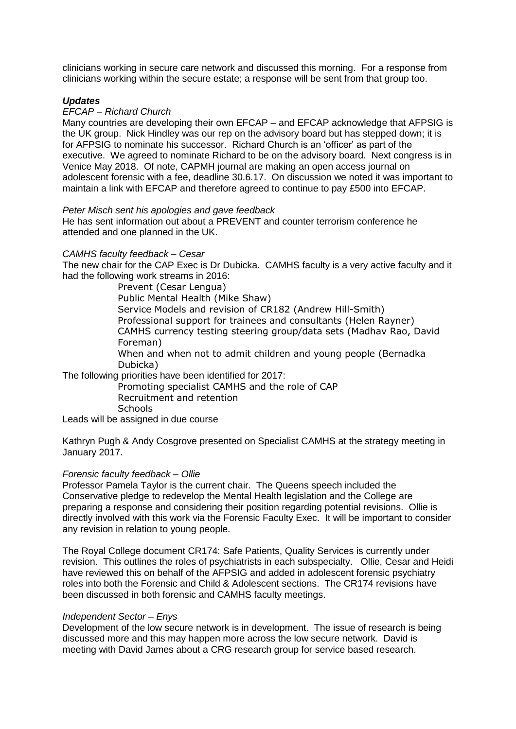clinicians working in secure care network and discussed this morning. For a response from clinicians working within the secure estate; a response will be sent from that group too.

## *Updates*

## *EFCAP – Richard Church*

Many countries are developing their own EFCAP – and EFCAP acknowledge that AFPSIG is the UK group. Nick Hindley was our rep on the advisory board but has stepped down; it is for AFPSIG to nominate his successor. Richard Church is an 'officer' as part of the executive. We agreed to nominate Richard to be on the advisory board. Next congress is in Venice May 2018. Of note, CAPMH journal are making an open access journal on adolescent forensic with a fee, deadline 30.6.17. On discussion we noted it was important to maintain a link with EFCAP and therefore agreed to continue to pay £500 into EFCAP.

## *Peter Misch sent his apologies and gave feedback*

He has sent information out about a PREVENT and counter terrorism conference he attended and one planned in the UK.

## *CAMHS faculty feedback – Cesar*

The new chair for the CAP Exec is Dr Dubicka. CAMHS faculty is a very active faculty and it had the following work streams in 2016:

> Prevent (Cesar Lengua) Public Mental Health (Mike Shaw) Service Models and revision of CR182 (Andrew Hill-Smith) Professional support for trainees and consultants (Helen Rayner) CAMHS currency testing steering group/data sets (Madhav Rao, David Foreman) When and when not to admit children and young people (Bernadka Dubicka)

The following priorities have been identified for 2017:

Promoting specialist CAMHS and the role of CAP Recruitment and retention **Schools** 

Leads will be assigned in due course

Kathryn Pugh & Andy Cosgrove presented on Specialist CAMHS at the strategy meeting in January 2017.

## *Forensic faculty feedback – Ollie*

Professor Pamela Taylor is the current chair. The Queens speech included the Conservative pledge to redevelop the Mental Health legislation and the College are preparing a response and considering their position regarding potential revisions. Ollie is directly involved with this work via the Forensic Faculty Exec. It will be important to consider any revision in relation to young people.

The Royal College document CR174: Safe Patients, Quality Services is currently under revision. This outlines the roles of psychiatrists in each subspecialty. Ollie, Cesar and Heidi have reviewed this on behalf of the AFPSIG and added in adolescent forensic psychiatry roles into both the Forensic and Child & Adolescent sections. The CR174 revisions have been discussed in both forensic and CAMHS faculty meetings.

## *Independent Sector – Enys*

Development of the low secure network is in development. The issue of research is being discussed more and this may happen more across the low secure network. David is meeting with David James about a CRG research group for service based research.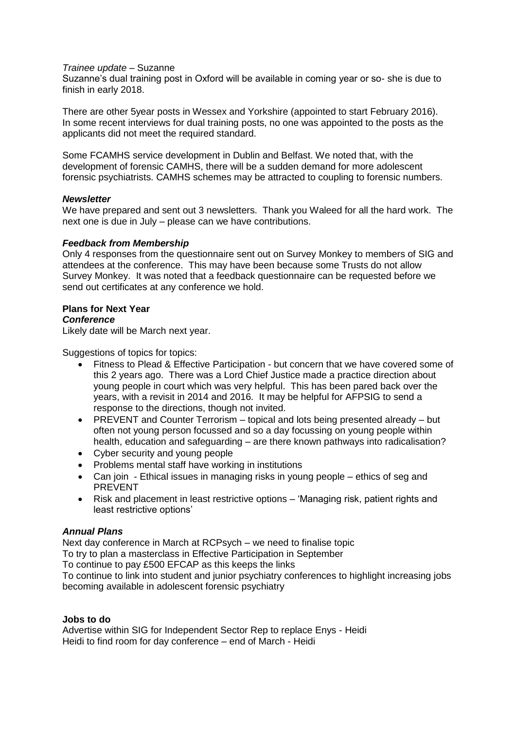#### *Trainee update* – Suzanne

Suzanne's dual training post in Oxford will be available in coming year or so- she is due to finish in early 2018.

There are other 5year posts in Wessex and Yorkshire (appointed to start February 2016). In some recent interviews for dual training posts, no one was appointed to the posts as the applicants did not meet the required standard.

Some FCAMHS service development in Dublin and Belfast. We noted that, with the development of forensic CAMHS, there will be a sudden demand for more adolescent forensic psychiatrists. CAMHS schemes may be attracted to coupling to forensic numbers.

## *Newsletter*

We have prepared and sent out 3 newsletters. Thank you Waleed for all the hard work. The next one is due in July – please can we have contributions.

## *Feedback from Membership*

Only 4 responses from the questionnaire sent out on Survey Monkey to members of SIG and attendees at the conference. This may have been because some Trusts do not allow Survey Monkey. It was noted that a feedback questionnaire can be requested before we send out certificates at any conference we hold.

## **Plans for Next Year**

#### *Conference*

Likely date will be March next year.

Suggestions of topics for topics:

- Fitness to Plead & Effective Participation but concern that we have covered some of this 2 years ago. There was a Lord Chief Justice made a practice direction about young people in court which was very helpful. This has been pared back over the years, with a revisit in 2014 and 2016. It may be helpful for AFPSIG to send a response to the directions, though not invited.
- PREVENT and Counter Terrorism topical and lots being presented already but often not young person focussed and so a day focussing on young people within health, education and safeguarding – are there known pathways into radicalisation?
- Cyber security and young people
- Problems mental staff have working in institutions
- Can join Ethical issues in managing risks in young people ethics of seg and PREVENT
- Risk and placement in least restrictive options 'Managing risk, patient rights and least restrictive options'

## *Annual Plans*

Next day conference in March at RCPsych – we need to finalise topic

To try to plan a masterclass in Effective Participation in September

To continue to pay £500 EFCAP as this keeps the links

To continue to link into student and junior psychiatry conferences to highlight increasing jobs becoming available in adolescent forensic psychiatry

## **Jobs to do**

Advertise within SIG for Independent Sector Rep to replace Enys - Heidi Heidi to find room for day conference – end of March - Heidi